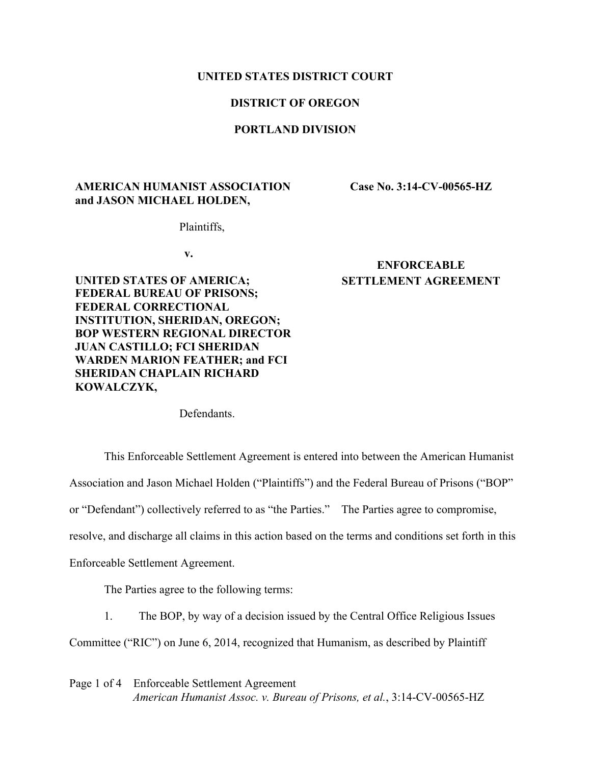#### **UNITED STATES DISTRICT COURT**

# **DISTRICT OF OREGON**

# **PORTLAND DIVISION**

# **AMERICAN HUMANIST ASSOCIATION and JASON MICHAEL HOLDEN,**

**Case No. 3:14-CV-00565-HZ**

Plaintiffs,

**v.**

**UNITED STATES OF AMERICA; FEDERAL BUREAU OF PRISONS; FEDERAL CORRECTIONAL INSTITUTION, SHERIDAN, OREGON; BOP WESTERN REGIONAL DIRECTOR JUAN CASTILLO; FCI SHERIDAN WARDEN MARION FEATHER; and FCI SHERIDAN CHAPLAIN RICHARD KOWALCZYK,**

# **ENFORCEABLE SETTLEMENT AGREEMENT**

**Defendants** 

This Enforceable Settlement Agreement is entered into between the American Humanist

Association and Jason Michael Holden ("Plaintiffs") and the Federal Bureau of Prisons ("BOP"

or "Defendant") collectively referred to as "the Parties." The Parties agree to compromise,

resolve, and discharge all claims in this action based on the terms and conditions set forth in this

Enforceable Settlement Agreement.

The Parties agree to the following terms:

1. The BOP, by way of a decision issued by the Central Office Religious Issues

Committee ("RIC") on June 6, 2014, recognized that Humanism, as described by Plaintiff

Page 1 of 4 Enforceable Settlement Agreement *American Humanist Assoc. v. Bureau of Prisons, et al.*, 3:14-CV-00565-HZ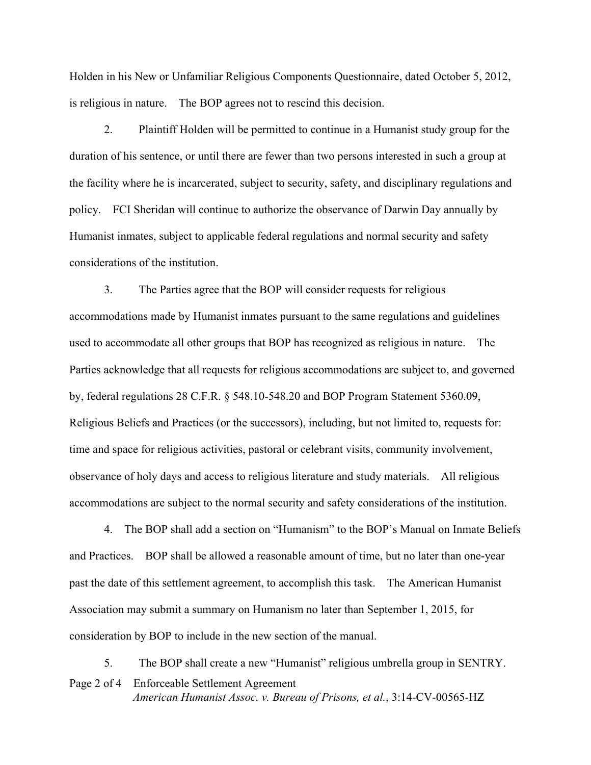Holden in his New or Unfamiliar Religious Components Questionnaire, dated October 5, 2012, is religious in nature. The BOP agrees not to rescind this decision.

2. Plaintiff Holden will be permitted to continue in a Humanist study group for the duration of his sentence, or until there are fewer than two persons interested in such a group at the facility where he is incarcerated, subject to security, safety, and disciplinary regulations and policy. FCI Sheridan will continue to authorize the observance of Darwin Day annually by Humanist inmates, subject to applicable federal regulations and normal security and safety considerations of the institution.

3. The Parties agree that the BOP will consider requests for religious accommodations made by Humanist inmates pursuant to the same regulations and guidelines used to accommodate all other groups that BOP has recognized as religious in nature. The Parties acknowledge that all requests for religious accommodations are subject to, and governed by, federal regulations 28 C.F.R. § 548.10-548.20 and BOP Program Statement 5360.09, Religious Beliefs and Practices (or the successors), including, but not limited to, requests for: time and space for religious activities, pastoral or celebrant visits, community involvement, observance of holy days and access to religious literature and study materials. All religious accommodations are subject to the normal security and safety considerations of the institution.

4. The BOP shall add a section on "Humanism" to the BOP's Manual on Inmate Beliefs and Practices. BOP shall be allowed a reasonable amount of time, but no later than one-year past the date of this settlement agreement, to accomplish this task. The American Humanist Association may submit a summary on Humanism no later than September 1, 2015, for consideration by BOP to include in the new section of the manual.

Page 2 of 4 Enforceable Settlement Agreement *American Humanist Assoc. v. Bureau of Prisons, et al.*, 3:14-CV-00565-HZ 5. The BOP shall create a new "Humanist" religious umbrella group in SENTRY.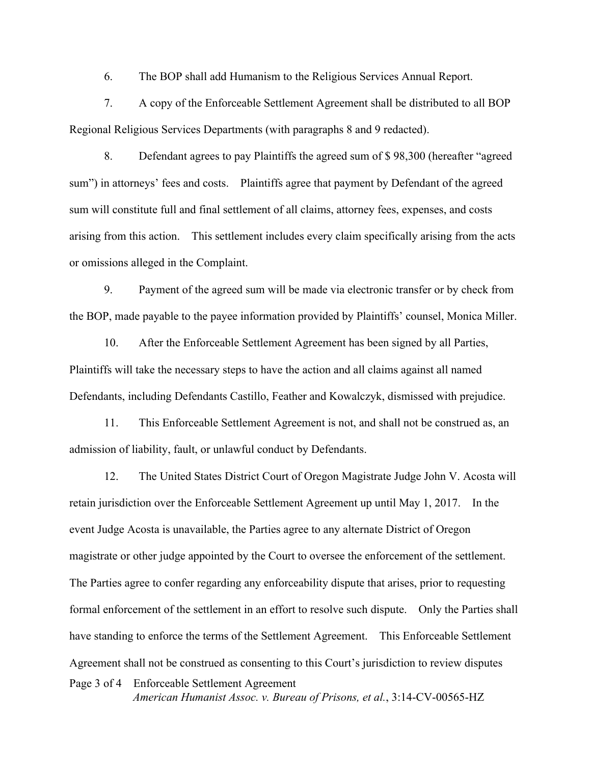6. The BOP shall add Humanism to the Religious Services Annual Report.

7. A copy of the Enforceable Settlement Agreement shall be distributed to all BOP Regional Religious Services Departments (with paragraphs 8 and 9 redacted).

8. Defendant agrees to pay Plaintiffs the agreed sum of \$ 98,300 (hereafter "agreed sum") in attorneys' fees and costs. Plaintiffs agree that payment by Defendant of the agreed sum will constitute full and final settlement of all claims, attorney fees, expenses, and costs arising from this action. This settlement includes every claim specifically arising from the acts or omissions alleged in the Complaint.

9. Payment of the agreed sum will be made via electronic transfer or by check from the BOP, made payable to the payee information provided by Plaintiffs' counsel, Monica Miller.

10. After the Enforceable Settlement Agreement has been signed by all Parties, Plaintiffs will take the necessary steps to have the action and all claims against all named Defendants, including Defendants Castillo, Feather and Kowalczyk, dismissed with prejudice.

11. This Enforceable Settlement Agreement is not, and shall not be construed as, an admission of liability, fault, or unlawful conduct by Defendants.

Page 3 of 4 Enforceable Settlement Agreement *American Humanist Assoc. v. Bureau of Prisons, et al.*, 3:14-CV-00565-HZ 12. The United States District Court of Oregon Magistrate Judge John V. Acosta will retain jurisdiction over the Enforceable Settlement Agreement up until May 1, 2017. In the event Judge Acosta is unavailable, the Parties agree to any alternate District of Oregon magistrate or other judge appointed by the Court to oversee the enforcement of the settlement. The Parties agree to confer regarding any enforceability dispute that arises, prior to requesting formal enforcement of the settlement in an effort to resolve such dispute. Only the Parties shall have standing to enforce the terms of the Settlement Agreement. This Enforceable Settlement Agreement shall not be construed as consenting to this Court's jurisdiction to review disputes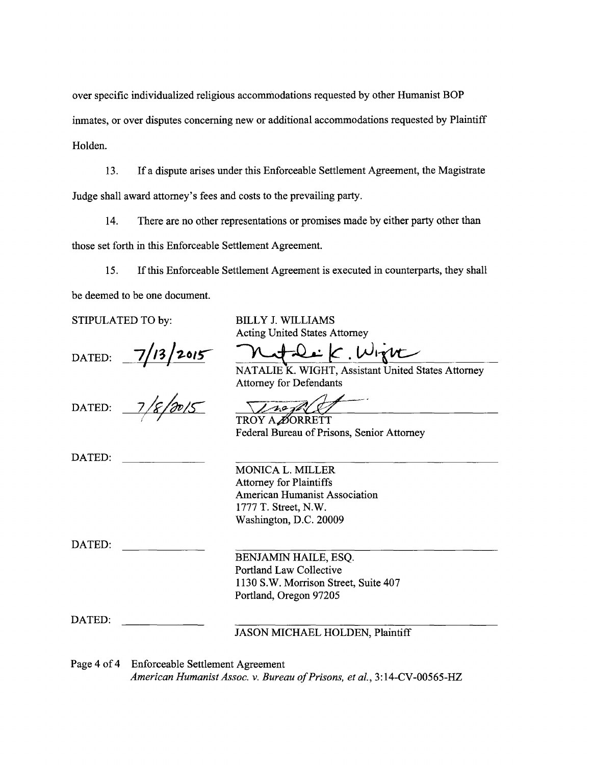over specific individualized religious accommodations requested by other Humanist BOP inmates, or over disputes concerning new or additional accommodations requested by Plaintiff Holden.

13. If a dispute arises under this Enforceable Settlement Agreement, the Magistrate Judge shall award attorney's fees and costs to the prevailing party.

14. There are no other representations or promises made by either party other than those set forth in this Enforceable Settlement Agreement.

15. If this Enforceable Settlement Agreement is executed in counterparts, they shall be deemed to be one document.

STIPULATED TO by:

DATED: **7/13/2015** 

DATED:

DATED:

BILLY J. WILLIAMS Acting United States Attorney

**k.** 

NATALIE K. WIGHT, Assistant United States Attorney Attorney for Defendants

 $10 - 10$ 

TROY A ØORRETT Federal Bureau of Prisons, Senior Attorney

MONICAL. MILLER Attorney for Plaintiffs American Humanist Association 1777 T. Street, N.W. Washington, D.C. 20009

DATED:

BENJAMIN HAILE, ESQ. Portland Law Collective 1130 S.W. Morrison Street, Suite 407 Portland, Oregon 97205

DATED:

JASON MICHAEL HOLDEN, Plaintiff

Page 4 of 4 Enforceable Settlement Agreement

*American Humanist Assoc.* v. *Bureau of Prisons, et al.,* 3: 14-CV -00565-HZ